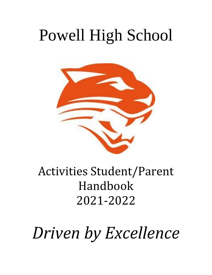# Powell High School



### Activities Student/Parent Handbook 2021-2022

*Driven by Excellence*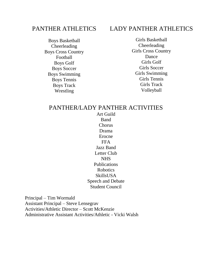#### PANTHER ATHLETICS

Boys Basketball Cheerleading Boys Cross Country Football Boys Golf Boys Soccer Boys Swimming Boys Tennis Boys Track Wrestling

#### LADY PANTHER ATHLETICS

Girls Basketball Cheerleading Girls Cross Country Dance Girls Golf Girls Soccer Girls Swimming Girls Tennis Girls Track Volleyball

#### PANTHER/LADY PANTHER ACTIVITIES

Art Guild Band Chorus Drama Erocne FFA Jazz Band Letter Club NHS Publications Robotics SkillsUSA Speech and Debate Student Council

Principal – Tim Wormald Assistant Principal – Steve Lensegrav Activities/Athletic Director – Scott McKenzie Administrative Assistant Activities/Athletic - Vicki Walsh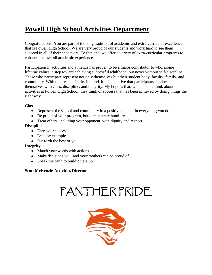### **Powell High School Activities Department**

Congratulations! You are part of the long tradition of academic and extra-curricular excellence that is Powell High School. We are very proud of our students and work hard to see them succeed in all of their endeavors. To that end, we offer a variety of extra-curricular programs to enhance the overall academic experience.

Participation in activities and athletics has proven to be a major contributor to wholesome lifetime values, a step toward achieving successful adulthood, but never without self-discipline. Those who participate represent not only themselves but their student body, faculty, family, and community. With that responsibility in mind, it is imperative that participants conduct themselves with class, discipline, and integrity. My hope is that, when people think about activities at Powell High School, they think of success that has been achieved by doing things the right way.

#### **Class**

- Represent the school and community in a positive manner in everything you do
- Be proud of your program, but demonstrate humility
- Treat others, including your opponent, with dignity and respect

#### **Discipline**

- Earn your success
- Lead by example
- Put forth the best of you

#### **Integrity**

- Match your words with actions
- Make decisions you (and your mother) can be proud of
- Speak the truth to build others up

#### **Scott McKenzie-Activities Director**

## PANTHER PRIDE

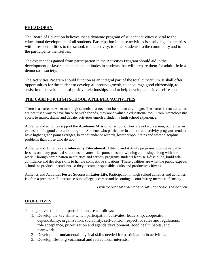#### **PHILOSOPHY**

The Board of Education believes that a dynamic program of student activities is vital to the educational development of all students. Participation in these activities is a privilege that carries with it responsibilities to the school, to the activity, to other students, to the community and to the participants themselves.

The experiences gained from participation in the Activities Program should aid in the development of favorable habits and attitudes in students that will prepare them for adult life in a democratic society.

The Activities Program should function as an integral part of the total curriculum. It shall offer opportunities for the student to develop all-around growth, to encourage good citizenship, to assist in the development of positive relationships, and to help develop a positive self-esteem.

#### **THE CASE FOR HIGH SCHOOL ATHLETIC/ACTIVITIES**

There is a secret in America's high schools that need not be hidden any longer. The secret is that activities are not just a way to have fun or be with friends, they are a valuable educational tool. From interscholastic sports to music, drama and debate, activities enrich a student's high school experience.

Athletics and activities support the **Academic Mission** of schools. They are not a diversion, but rather an extension of a good education program. Students who participate in athletic and activity programs tend to have higher grade point averages, better attendance records, lower dropout rates and fewer discipline problems than those who do not.

Athletics and Activities are **Inherently Educational.** Athletic and Activity programs provide valuable lessons on many practical situations—teamwork, sportsmanship, winning and losing, along with hard work. Through participation in athletics and activity programs students learn self-discipline, build selfconfidence and develop skills to handle competitive situations. These qualities are what the public expects schools to produce in students, so they become responsible adults and productive citizens.

Athletics and Activities **Foster Success in Later Life.** Participation in high school athletics and activities is often a predictor of later success in college, a career and becoming a contributing member of society.

*From the National Federation of State High Schools Association*

#### **OBJECTIVES**

The objectives of student participation are as follows:

- 1. Develop the key skills which participation cultivates: leadership, cooperation, dependability, organization, sociability, self-control, respect for rules and regulations, role acceptance, prioritization and agenda development, good health habits, and teamwork.
- 2. Develop the fundamental physical skills needed for participation in activities.
- 3. Develop life-long vocational and recreational interests.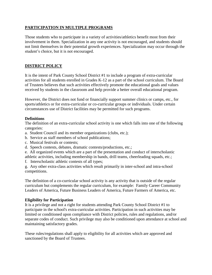#### **PARTICIPATION IN MULTIPLE PROGRAMS**

Those students who to participate in a variety of activities/athletics benefit most from their involvement in them. Specialization in any one activity is not encouraged, and students should not limit themselves in their potential growth experiences. Specialization may occur through the student's choice, but it is not encouraged.

#### **DISTRICT POLICY**

It is the intent of Park County School District #1 to include a program of extra-curricular activities for all students enrolled in Grades K-12 as a part of the school curriculum. The Board of Trustees believes that such activities effectively promote the educational goals and values received by students in the classroom and help provide a better overall educational program.

However, the District does not fund or financially support summer clinics or camps, etc., for sports/athletics or for extra-curricular or co-curricular groups or individuals. Under certain circumstances use of District facilities may be permitted for such programs.

#### **Definitions**

The definition of an extra-curricular school activity is one which falls into one of the following categories:

- a. Student Council and its member organizations (clubs, etc.);
- b. Service as staff members of school publications;
- c. Musical festivals or contests;
- d. Speech contests, debates, dramatic contests/productions, etc.;
- e. All organized events which are a part of the presentation and conduct of interscholastic athletic activities, including membership in bands, drill teams, cheerleading squads, etc.;
- f. Interscholastic athletic contests of all types;

g. Any other extra-class activities which result primarily in inter-school and intra-school competitions.

The definition of a co-curricular school activity is any activity that is outside of the regular curriculum but complements the regular curriculum, for example: Family Career Community Leaders of America, Future Business Leaders of America, Future Farmers of America, etc.

#### **Eligibility for Participation**

It is a privilege and not a right for students attending Park County School District #1 to participate in the school's extra-curricular activities. Participation in such activities may be limited or conditioned upon compliance with District policies, rules and regulations, and/or separate codes of conduct. Such privilege may also be conditioned upon attendance at school and maintaining satisfactory grades.

These rules/regulations shall apply to eligibility for all activities which are approved and sanctioned by the Board of Trustees.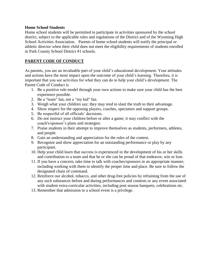#### **Home School Students**

Home school students will be permitted to participate in activities sponsored by the school district, subject to the applicable rules and regulations of the District and of the Wyoming High School Activities Association. Parents of home school students will notify the principal or athletic director when their child does not meet the eligibility requirements of students enrolled in Park County School District #1 schools.

#### **PARENT CODE OF CONDUCT**

As parents, you are an invaluable part of your child's educational development. Your attitudes and actions have the most impact upon the outcome of your child's learning. Therefore, it is important that you see activities for what they can do to help your child's development. The Parent Code of Conduct is

- 1. Be a positive role model through your own actions to make sure your child has the best experience possible.
- 2. Be a "team" fan, not a "my kid" fan.
- 3. Weigh what your children say; they may tend to slant the truth to their advantage.
- 4. Show respect for the opposing players, coaches, spectators and support groups.
- 5. Be respectful of all officials' decisions.
- 6. Do not instruct your children before or after a game; it may conflict with the coach's/sponsor's plans and strategies.
- 7. Praise students in their attempt to improve themselves as students, performers, athletes, and people.
- 8. Gain an understanding and appreciation for the rules of the contest.
- 9. Recognize and show appreciation for an outstanding performance or play by any participant.
- 10. Help your child learn that success is experienced in the development of his or her skills and contribution to a team and that he or she can be proud of that endeavor, win or lose.
- 11. If you have a concern, take time to talk with coaches/sponsors in an appropriate manner, including working with them to identify the proper time and place. Be sure to follow the designated chain of command.
- 12. Reinforce our alcohol, tobacco, and other drug-free policies by refraining from the use of any such substances before and during performances and contests or any event associated with student extra-curricular activities, including post season banquets, celebrations etc.
- 13. Remember that admission to a school event is a privilege.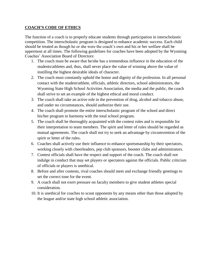#### **COACH'S CODE OF ETHICS**

The function of a coach is to properly educate students through participation in interscholastic competition. The interscholastic program is designed to enhance academic success. Each child should be treated as though he or she were the coach's own and his or her welfare shall be uppermost at all times. The following guidelines for coaches have been adopted by the Wyoming Coaches' Association Board of Directors:

- 1. The coach must be aware that he/she has a tremendous influence in the education of the students/athletes and, thus, shall never place the value of winning above the value of instilling the highest desirable ideals of character.
- 2. The coach must constantly uphold the honor and dignity of the profession. In all personal contact with the student/athlete, officials, athletic directors, school administrators, the Wyoming State High School Activities Association, the media and the public, the coach shall strive to set an example of the highest ethical and moral conduct.
- 3. The coach shall take an active role in the prevention of drug, alcohol and tobacco abuse, and under no circumstances, should authorize their use.
- 4. The coach shall promote the entire interscholastic program of the school and direct his/her program in harmony with the total school program.
- 5. The coach shall be thoroughly acquainted with the contest rules and is responsible for their interpretation to team members. The spirit and letter of rules should be regarded as mutual agreements. The coach shall not try to seek an advantage by circumvention of the spirit or letter of the rules.
- 6. Coaches shall actively use their influence to enhance sportsmanship by their spectators, working closely with cheerleaders, pep club sponsors, booster clubs and administrators.
- 7. Contest officials shall have the respect and support of the coach. The coach shall not indulge in conduct that may set players or spectators against the officials. Public criticism of officials or players is unethical.
- 8. Before and after contests, rival coaches should meet and exchange friendly greetings to set the correct tone for the event.
- 9. A coach shall not exert pressure on faculty members to give student athletes special consideration.
- 10. It is unethical for coaches to scout opponents by any means other than those adopted by the league and/or state high school athletic association.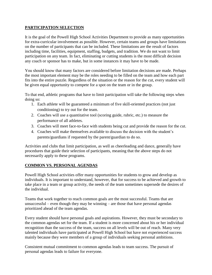#### **PARTICIPATION SELECTION**

It is the goal of the Powell High School Activities Department to provide as many opportunities for extra-curricular involvement as possible. However, certain teams and groups have limitations on the number of participants that can be included. These limitations are the result of factors including time, facilities, equipment, staffing, budgets, and tradition. We do not want to limit participation on any team. In fact, eliminating or cutting students is the most difficult decision any coach or sponsor has to make, but in some instances it may have to be made.

You should know that many factors are considered before limitation decisions are made. Perhaps the most important element may be the roles needing to be filled on the team and how each part fits into the entire puzzle. Regardless of the situation or the reason for the cut, every student will be given equal opportunity to compete for a spot on the team or in the group.

To that end, athletic programs that have to limit participation will take the following steps when doing so:

- 1. Each athlete will be guaranteed a minimum of five skill-oriented practices (not just conditioning) to try out for the team.
- 2. Coaches will use a quantitative tool (scoring guide, rubric, etc.) to measure the performance of all athletes.
- 3. Coaches will meet face-to-face with students being cut and provide the reason for the cut.
- 4. Coaches will make themselves available to discuss the decision with the student's parents/guardians if requested by the parent/guardian to do so.

Activities and clubs that limit participation, as well as cheerleading and dance, generally have procedures that guide their selection of participants, meaning that the above steps do not necessarily apply to these programs.

#### **COMMON VS. PERSONAL AGENDAS**

Powell High School activities offer many opportunities for students to grow and develop as individuals. It is important to understand, however, that for success to be achieved and growth to take place in a team or group activity, the needs of the team sometimes supersede the desires of the individual.

Teams that work together to reach common goals are the most successful. Teams that are unsuccessful – even though they may be winning – are those that have personal agendas prioritized ahead of the team agendas.

Every student should have personal goals and aspirations. However, they must be secondary to the common agendas set for the team. If a student is more concerned about his or her individual recognition than the success of the team, success on all levels will be out of reach. Many very talented individuals have participated at Powell High School but have not experienced success mainly because they were members of a group of individuals seeking personal ambitions.

Consistent mutual commitment to common agendas leads to team success. The pursuit of personal agendas leads to failure for everyone.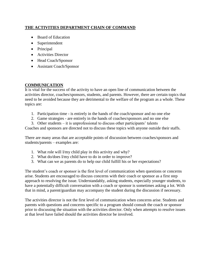#### **THE ACTIVITIES DEPARTMENT CHAIN OF COMMAND**

- Board of Education
- Superintendent
- Principal
- Activities Director
- Head Coach/Sponsor
- Assistant Coach/Sponsor

#### **COMMUNICATION**

It is vital for the success of the activity to have an open line of communication between the activities director, coaches/sponsors, students, and parents. However, there are certain topics that need to be avoided because they are detrimental to the welfare of the program as a whole. These topics are:

- 1. Participation time is entirely in the hands of the coach/sponsor and no one else
- 2. Game strategies are entirely in the hands of coaches/sponsors and no one else
- 3. Other students it is unprofessional to discuss other participants' talents

Coaches and sponsors are directed not to discuss these topics with anyone outside their staffs.

There are many areas that are acceptable points of discussion between coaches/sponsors and students/parents – examples are:

- 1. What role will I/my child play in this activity and why?
- 2. What do/does I/my child have to do in order to improve?
- 3. What can we as parents do to help our child fulfill his or her expectations?

The student's coach or sponsor is the first level of communication when questions or concerns arise. Students are encouraged to discuss concerns with their coach or sponsor as a first step approach to resolving the issue. Understandably, asking students, especially younger students, to have a potentially difficult conversation with a coach or sponsor is sometimes asking a lot. With that in mind, a parent/guardian may accompany the student during the discussion if necessary.

The activities director is not the first level of communication when concerns arise. Students and parents with questions and concerns specific to a program should consult the coach or sponsor prior to discussing the situation with the activities director. Only when attempts to resolve issues at that level have failed should the activities director be involved.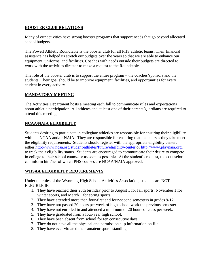#### **BOOSTER CLUB RELATIONS**

Many of our activities have strong booster programs that support needs that go beyond allocated school budgets.

The Powell Athletic Roundtable is the booster club for all PHS athletic teams. Their financial assistance has helped us stretch our budgets over the years so that we are able to enhance our equipment, uniforms, and facilities. Coaches with needs outside their budgets are directed to work with the activities director to make a request to the Roundtable.

The role of the booster club is to support the entire program – the coaches/sponsors and the students. Their goal should be to improve equipment, facilities, and opportunities for every student in every activity.

#### **MANDATORY MEETING**

The Activities Department hosts a meeting each fall to communicate rules and expectations about athletic participation. All athletes and at least one of their parents/guardians are required to attend this meeting.

#### **NCAA/NAIA ELIGIBILITY**

Students desiring to participate in collegiate athletics are responsible for ensuring their eligibility with the NCAA and/or NAIA. They are responsible for ensuring that the courses they take meet the eligibility requirements. Students should register with the appropriate eligibility center, either<http://www.ncaa.org/student-athletes/future/eligibilty-center> or [http://www.playnaia.org,](http://www.playnaia.org/) to track their eligibility status. Students are encouraged to communicate their desire to compete in college to their school counselor as soon as possible. At the student's request, the counselor can inform him/her of which PHS courses are NCAA/NAIA approved.

#### **WHSAA ELIGIBILITY REQUIREMENTS**

Under the rules of the Wyoming High School Activities Association, students are NOT ELIGIBLE IF:

- 1. They have reached their 20th birthday prior to August 1 for fall sports, November 1 for winter sports, and March 1 for spring sports.
- 2. They have attended more than four-first and four-second semesters in grades 9-12.
- 3. They have not passed 20 hours per week of high school work the previous semester.
- 4. They have not enrolled in and attended a minimum of 20 hours of class per week.
- 5. They have graduated from a four-year high school.
- 6. They have been absent from school for ten consecutive days.
- 7. They do not have all the physical and permission slip information on file.
- 8. They have ever violated their amateur sports standing.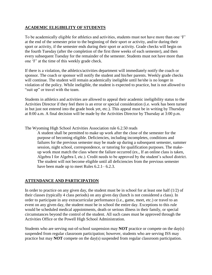#### **ACADEMIC ELIGIBILITY OF STUDENTS**

To be academically eligible for athletics and activities, students must not have more than one 'F' at the end of the semester prior to the beginning of their sport or activity, and/or during their sport or activity, if the semester ends during their sport or activity. Grade checks will begin on the fourth Tuesday (after the completion of the first three weeks of each semester), and then every subsequent Tuesday for the remainder of the semester. Students must not have more than one 'F' at the time of this weekly grade check.

If there is a violation, the athletics/activities department will immediately notify the coach or sponsor. The coach or sponsor will notify the student and his/her parents. Weekly grade checks will continue. The student will remain academically ineligible until he/she is no longer in violation of the policy. While ineligible, the student is expected to practice, but is not allowed to "suit up" or travel with the team.

Students in athletics and activities are allowed to appeal their academic ineligibility status to the Activities Director if they feel there is an error or special consideration (i.e. work has been turned in but just not entered into the grade book yet, etc.). This appeal must be in writing by Thursday at 8:00 a.m. A final decision will be made by the Activities Director by Thursday at 3:00 p.m.

The Wyoming High School Activities Association rule 6.2.50 reads

A student shall be permitted to make up work after the close of the semester for the purpose of becoming eligible. Deficiencies, including incompletes, conditions and failures for the previous semester may be made up during a subsequent semester, summer session, night school, correspondence, or tutoring for qualification purposes. The makeup work must match the class where the failure occurred (ex., If an online class is taken, Algebra I for Algebra I, etc.). Credit needs to be approved by the student's school district. The student will not become eligible until all deficiencies from the previous semester have been made up to meet Rules 6.2.1 – 6.2.3.

#### **ATTENDANCE AND PARTICIPATION**

In order to practice on any given day, the student must be in school for at least one half  $(1/2)$  of their classes (typically 4 class periods) on any given day (lunch is not considered a class). In order to participate in any extracurricular performance (i.e., game, meet, etc.) or travel to an event on any given day, the student must be in school the entire day. Exceptions to this rule would be scheduled medical appointments, death or serious illness in their family, or special circumstances beyond the control of the student. All such cases must be approved through the Activities Office or the Powell High School Administration.

Students who are serving out-of-school suspension may **NOT** practice or compete on the day(s) suspended from regular classroom participation; however, students who are serving ISS may practice but may **NOT** compete on the day(s) suspended from regular classroom participation.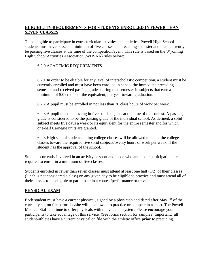#### **ELIGIBILITY REQUIREMENTS FOR STUDENTS ENROLLED IN FEWER THAN SEVEN CLASSES**

To be eligible to participate in extracurricular activities and athletics, Powell High School students must have passed a minimum of five classes the preceding semester and must currently be passing five classes at the time of the competition/event. This rule is based on the Wyoming High School Activities Association (WHSAA) rules below:

#### 6.2.0 ACADEMIC REQUIREMENTS

6.2.1 In order to be eligible for any level of interscholastic competition, a student must be currently enrolled and must have been enrolled in school the immediate preceding semester and received passing grades during that semester in subjects that earn a minimum of 5.0 credits or the equivalent, per year toward graduation.

6.2.2 A pupil must be enrolled in not less than 20 class hours of work per week.

6.2.3 A pupil must be passing in five solid subjects at the time of the contest. A passing grade is considered to be the passing grade of the individual school. As defined, a solid subject meets five days a week or its equivalent for the entire semester and for which one-half Carnegie units are granted.

6.2.8 High school students taking college classes will be allowed to count the college classes toward the required five solid subjects/twenty hours of work per week, if the student has the approval of the school.

Students currently involved in an activity or sport and those who anticipate participation are required to enroll in a minimum of five classes.

Students enrolled in fewer than seven classes must attend at least one half (1/2) of their classes (lunch is not considered a class) on any given day to be eligible to practice and must attend all of their classes to be eligible to participate in a contest/performance or travel.

#### **PHYSICAL EXAM**

Each student must have a current physical, signed by a physician and dated after May 1<sup>st</sup> of the current year, on file before he/she will be allowed to practice or compete in a sport. The Powell Medical Staff continue to offer physicals with the voucher system. Please encourage your participants to take advantage of this service. (See forms section for samples) Important: all student-athletes have a current physical on file with the athletic office **prior** to practicing.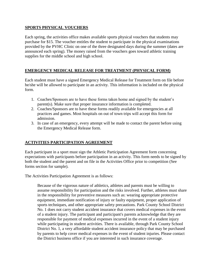#### **SPORTS PHYSICAL VOUCHERS**

Each spring, the activities office makes available sports physical vouchers that students may purchase for \$15. The voucher entitles the student to participate in the physical examinations provided by the PVHC Clinic on one of the three designated days during the summer (dates are announced each spring). The money raised from the vouchers goes toward athletic training supplies for the middle school and high school.

#### **EMERGENCY MEDICAL RELEASE FOR TREATMENT (PHYSICAL FORM)**

Each student must have a signed Emergency Medical Release for Treatment form on file before he/she will be allowed to participate in an activity. This information is included on the physical form.

- 1. Coaches/Sponsors are to have these forms taken home and signed by the student's parent(s). Make sure that proper insurance information is completed.
- 2. Coaches/Sponsors are to have these forms readily available for emergencies at all practices and games. Most hospitals on out of town trips will accept this form for admission.
- 3. In case of an emergency, every attempt will be made to contact the parent before using the Emergency Medical Release form.

#### **ACTIVITIES PARTICIPATION AGREEMENT**

Each participant in a sport must sign the Athletic Participation Agreement form concerning expectations with participants before participation in an activity. This form needs to be signed by both the student and the parent and on file in the Activities Office prior to competition (See forms section for sample).

The Activities Participation Agreement is as follows:

Because of the vigorous nature of athletics, athletes and parents must be willing to assume responsibility for participation and the risks involved. Further, athletes must share in the responsibility for preventive measures such as: wearing appropriate protective equipment, immediate notification of injury or faulty equipment, proper application of sports techniques, and other appropriate safety precautions. Park County School District No. 1 does not carry student accident insurance that covers medical expenses in the event of a student injury. The participant and participant's parents acknowledge that they are responsible for payment of medical expenses incurred in the event of a student injury while participating in student activities. There is available, through Park County School District No. 1, a very affordable student accident insurance policy that may be purchased by parents to help cover medical expenses in the event of student injuries. Please contact the District business office if you are interested in such insurance coverage.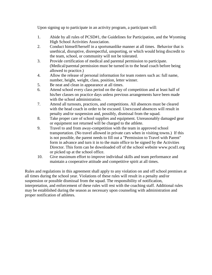Upon signing up to participate in an activity program, a participant will:

- 1. Abide by all rules of PCSD#1, the Guidelines for Participation, and the Wyoming High School Activities Association.
- 2. Conduct himself/herself in a sportsmanlike manner at all times. Behavior that is unethical, disruptive, disrespectful, unsporting, or which would bring discredit to the team, school, or community will not be tolerated.
- 3. Provide certification of medical and parental permission to participate. (Medical/parental permission must be turned in to the head coach before being allowed to practice.)
- 4. Allow the release of personal information for team rosters such as: full name, number, height, weight, class, position, letter winner.
- 5. Be neat and clean in appearance at all times.
- 6. Attend school every class period on the day of competition and at least half of his/her classes on practice days unless previous arrangements have been made with the school administration.
- 7. Attend all turnouts, practices, and competitions. All absences must be cleared with the head coach in order to be excused. Unexcused absences will result in penalty and/or suspension and, possibly, dismissal from the squad.
- 8. Take proper care of school supplies and equipment. Unreasonably damaged gear or equipment not returned will be charged to the athlete.
- 9. Travel to and from away-competition with the team in approved school transportation. (No travel allowed in private cars when in visiting towns.) If this is not possible, the parent needs to fill out a "Permission to Travel with Parent" form in advance and turn it in to the main office to be signed by the Activities Director. This form can be downloaded off of the school website www.pcsd1.org or picked up at the school office.
- 10. Give maximum effort to improve individual skills and team performance and maintain a cooperative attitude and competitive spirit at all times.

Rules and regulations in this agreement shall apply to any violation on and off school premises at all times during the school year. Violations of these rules will result in a penalty and/or suspension or possible dismissal from the squad. The responsibility of notification, interpretation, and enforcement of these rules will rest with the coaching staff. Additional rules may be established during the season as necessary upon counseling with administration and proper notification of athletes.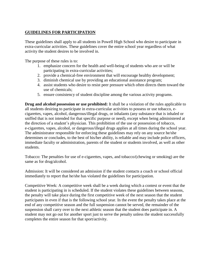#### **GUIDELINES FOR PARTICIPATION**

These guidelines shall apply to all students in Powell High School who desire to participate in extra-curricular activities. These guidelines cover the entire school year regardless of what activity the student desires to be involved in.

The purpose of these rules is to:

- 1. emphasize concern for the health and well-being of students who are or will be participating in extra-curricular activities;
- 2. provide a chemical-free environment that will encourage healthy development;
- 3. diminish chemical use by providing an educational assistance program;
- 4. assist students who desire to resist peer pressure which often directs them toward the use of chemicals;
- 5. ensure consistency of student discipline among the various activity programs.

**Drug and alcohol possession or use prohibited:** It shall be a violation of the rules applicable to all students desiring to participate in extra-curricular activities to possess or use tobacco, ecigarettes, vapes, alcohol, dangerous/illegal drugs, or inhalants (any substance that is inhaled or sniffed that is not intended for that specific purpose or need), except when being administered at the direction of a student's physician. This prohibition of the use or possession of tobacco, e-cigarettes, vapes, alcohol, or dangerous/illegal drugs applies at all times during the school year. The administrator responsible for enforcing these guidelines may rely on any source he/she determines or concludes, to the best of his/her ability, is reliable and may include police officers, immediate faculty or administration, parents of the student or students involved, as well as other students.

Tobacco: The penalties for use of e-cigarettes, vapes, and tobacco/(chewing or smoking) are the same as for drug/alcohol.

Admission: It will be considered an admission if the student contacts a coach or school official immediately to report that he/she has violated the guidelines for participation.

Competitive Week: A competitive week shall be a week during which a contest or event that the student is participating in is scheduled. If the student violates these guidelines between seasons, the penalty will take place during the first competitive week of the next season that the student participates in even if that is the following school year. In the event the penalty takes place at the end of any competitive season and the full suspension cannot be served, the remainder of the suspension shall carry over to the next athletic season that the student does participate in. A student may not go out for another sport just to serve the penalty unless the student successfully completes the entire season for that sport/activity.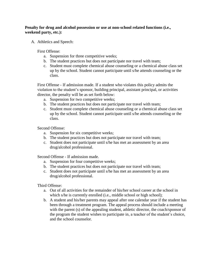#### **Penalty for drug and alcohol possession or use at non-school related functions (i.e., weekend party, etc.):**

A. Athletics and Speech:

First Offense:

- a. Suspension for three competitive weeks;
- b. The student practices but does not participate nor travel with team;
- c. Student must complete chemical abuse counseling or a chemical abuse class set up by the school. Student cannot participate until s/he attends counseling or the class.

First Offense - If admission made. If a student who violates this policy admits the violation to the student's sponsor, building principal, assistant principal, or activities director, the penalty will be as set forth below:

- a. Suspension for two competitive weeks;
- b. The student practices but does not participate nor travel with team;
- c. Student must complete chemical abuse counseling or a chemical abuse class set up by the school. Student cannot participate until s/he attends counseling or the class.

Second Offense:

- a. Suspension for six competitive weeks;
- b. The student practices but does not participate nor travel with team;
- c. Student does not participate until s/he has met an assessment by an area drug/alcohol professional.

Second Offense - If admission made.

- a. Suspension for four competitive weeks;
- b. The student practices but does not participate nor travel with team;
- c. Student does not participate until s/he has met an assessment by an area drug/alcohol professional.

Third Offense:

- a. Out of all activities for the remainder of his/her school career at the school in which s/he is currently enrolled (i.e., middle school or high school);
- b. A student and his/her parents may appeal after one calendar year if the student has been through a treatment program. The appeal process should include a meeting with the parent (s) of the appealing student, athletic director, the coach/sponsor of the program the student wishes to participate in, a teacher of the student's choice, and the school counselor.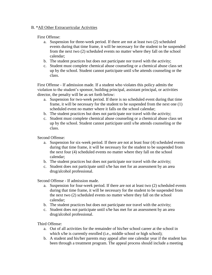#### B. \*All Other Extracurricular Activities

#### First Offense:

- a. Suspension for three-week period. If there are not at least two (2) scheduled events during that time frame, it will be necessary for the student to be suspended from the next two (2) scheduled events no matter where they fall on the school calendar;
- b. The student practices but does not participate nor travel with the activity;
- c. Student must complete chemical abuse counseling or a chemical abuse class set up by the school. Student cannot participate until s/he attends counseling or the class.

First Offense - If admission made. If a student who violates this policy admits the violation to the student's sponsor, building principal, assistant principal, or activities director, the penalty will be as set forth below:

- a. Suspension for two-week period. If there is no scheduled event during that time frame, it will be necessary for the student to be suspended from the next one (1) scheduled event no matter where it falls on the school calendar;
- b. The student practices but does not participate nor travel with the activity;
- c. Student must complete chemical abuse counseling or a chemical abuse class set up by the school. Student cannot participate until s/he attends counseling or the class.

Second Offense:

- a. Suspension for six-week period. If there are not at least four (4) scheduled events during that time frame, it will be necessary for the student to be suspended from the next four (4) scheduled events no matter where they fall on the school calendar;
- b. The student practices but does not participate nor travel with the activity;
- c. Student does not participate until s/he has met for an assessment by an area drug/alcohol professional.

Second Offense - If admission made.

- a. Suspension for four-week period. If there are not at least two (2) scheduled events during that time frame, it will be necessary for the student to be suspended from the next two (2) scheduled events no matter where they fall on the school calendar;
- b. The student practices but does not participate nor travel with the activity;
- c. Student does not participate until s/he has met for an assessment by an area drug/alcohol professional.

Third Offense:

- a. Out of all activities for the remainder of his/her school career at the school in which s/he is currently enrolled (i.e., middle school or high school);
- b. A student and his/her parents may appeal after one calendar year if the student has been through a treatment program. The appeal process should include a meeting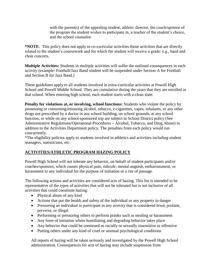with the parent(s) of the appealing student, athletic director, the coach/sponsor of the program the student wishes to participate in, a teacher of the student's choice, and the school counselor.

**\*NOTE**: This policy does not apply to co-curricular activities-those activities that are directly related to the student's coursework and for which the student will receive a grade: e.g., band and choir concerts.

**Multiple Activities:** Students in multiple activities will suffer the outlined consequences in each activity (example: Football/Jazz Band student will be suspended under Section A for Football and Section B for Jazz Band.)

These guidelines apply to all students involved in extra-curricular activities at Powell High School and Powell Middle School. They are cumulative during the years that they are enrolled in that school. When entering high school, each student starts with a clean slate.

**Penalty for violations at, or involving, school functions:** Students who violate the policy by possessing or consuming/misusing alcohol, tobacco, e-cigarettes, vapes, inhalants, or any other drugs not prescribed by a doctor in any school building, on school grounds, at any school function, or while on any school-sponsored trip are subject to School District policy (See Administrative Regulations/Operational Procedures – Alcohol, Tobacco, and Drug Abuse) in addition to the Activities Department policy. The penalties from each policy would run concurrently.

\*The eligibility policies apply to students involved in athletics and activities including student managers, statisticians, etc.

#### **ACTIVITIES/ATHLETIC PROGRAM HAZING POLICY**

Powell High School will not tolerate any behavior, on behalf of student participants and/or coaches/sponsors, which causes physical pain, ridicule, mental anguish, embarrassment, or harassment to any individual for the purpose of initiation or a rite of passage.

The following actions and activities are considered acts of hazing. This list is intended to be representative of the types of activities that will not be tolerated but is not inclusive of all activities that could constitute hazing:

- Physical abuse of any kind
- Actions that put the health and safety of the individual or any property in danger
- Pressuring an individual to participate in any activity that is considered lewd, profane, perverse, or illegal
- Performing or pressuring others to perform pranks such as stealing or harassment
- Any form of initiation where humiliating and degrading behavior takes place
- Any behavior that could be construed as racially or sexually insensitive or offensive
- Putting others under any kind of cruel or unusual psychological conditions

All reports of hazing will be taken seriously and investigated by the Powell High School administration. Consequences for acts of hazing may include suspension from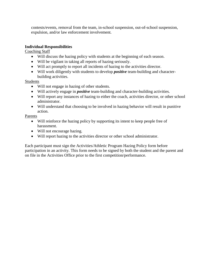contests/events, removal from the team, in-school suspension, out-of-school suspension, expulsion, and/or law enforcement involvement.

#### **Individual Responsibilities**

Coaching Staff

- Will discuss the hazing policy with students at the beginning of each season.
- Will be vigilant in taking all reports of hazing seriously.
- Will act promptly to report all incidents of hazing to the activities director.
- Will work diligently with students to develop *positive* team-building and characterbuilding activities.

#### **Students**

- Will not engage in hazing of other students.
- Will actively engage in *positive* team-building and character-building activities.
- Will report any instances of hazing to either the coach, activities director, or other school administrator.
- Will understand that choosing to be involved in hazing behavior will result in punitive action.

#### Parents

- Will reinforce the hazing policy by supporting its intent to keep people free of harassment.
- Will not encourage hazing.
- Will report hazing to the activities director or other school administrator.

Each participant must sign the Activities/Athletic Program Hazing Policy form before participation in an activity. This form needs to be signed by both the student and the parent and on file in the Activities Office prior to the first competition/performance.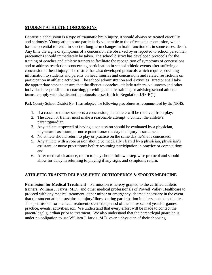#### **STUDENT ATHLETE CONCUSSIONS**

Because a concussion is a type of traumatic brain injury, it should always be treated carefully and seriously. Young athletes are particularly vulnerable to the effects of a concussion, which has the potential to result in short or long-term changes in brain function or, in some cases, death. Any time the signs or symptoms of a concussion are observed by or reported to school personnel, precautions should immediately be taken. The school district has developed protocols for the training of coaches and athletic trainers to facilitate the recognition of symptoms of concussions and to address restrictions concerning participation in school athletic events after suffering a concussion or head injury. The district has also developed protocols which require providing information to students and parents on head injuries and concussions and related restrictions on participation in athletic activities. The school administration and Activities Director shall take the appropriate steps to ensure that the district's coaches, athletic trainers, volunteers and other individuals responsible for coaching, providing athletic training, or advising school athletic teams, comply with the district's protocols as set forth in Regulation JJIF-R(1).

Park County School District No. 1 has adopted the following procedures as recommended by the NFHS:

- 1. If a coach or trainer suspects a concussion, the athlete will be removed from play;
- 2. The coach or trainer must make a reasonable attempt to contact the athlete's parent/guardian;
- 3. Any athlete suspected of having a concussion should be evaluated by a physician, physician's assistant, or nurse practitioner the day the injury is sustained;
- 4. No athlete should return to play or practice on the same day he/she is concussed;
- 5. Any athlete with a concussion should be medically cleared by a physician, physician's assistant, or nurse practitioner before resuming participation in practice or competition; and
- 6. After medical clearance, return to play should follow a step-wise protocol and should allow for delay in returning to playing if any signs and symptoms return.

#### **ATHLETIC TRAINER RELEASE-PVHC ORTHOPEDICS & SPORTS MEDICINE**

**Permission for Medical Treatment** – Permission is hereby granted to the certified athletic trainers, William J. Jarvis, M.D., and other medical professionals of Powell Valley Healthcare to proceed with any medical treatment, either minor or emergency, deemed necessary in the event that the student athlete sustains an injury/illness during participation in interscholastic athletics. This permission for medical treatment covers the period of the entire school year for games, practice, events, activities, etc. We understand that every effort will be made to contact the parent/legal guardian prior to treatment. We also understand that the parent/legal guardian is under no obligation to use William J. Jarvis, M.D. over a physician of their choosing.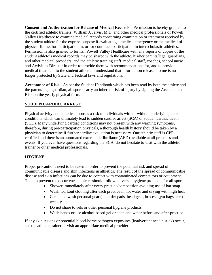**Consent and Authorization for Release of Medical Records** – Permission is hereby granted to the certified athletic trainers, William J. Jarvis, M.D, and other medical professionals of Powell Valley Healthcare to examine medical records concerning examination or treatment received by the student athlete for the express purpose if evaluating a medical emergency or the medical of physical fitness for participation in, or for continued participation in interscholastic athletics. Permission is also granted to furnish Powell Valley Healthcare with any reports or copies of the student athlete's medical records may be shared with the athlete, his/her parents/legal guardians, and other medical providers, and the athletic training staff, medical staff, coaches, school nurse and Activities Director in order to provide them with recommendations for, and to provide medical treatment to the student athlete. I understand that information released to me is no longer protected by State and Federal laws and regulations.

**Acceptance of Risk** – As per the Student Handbook which has been read by both the athlete and the parent/legal guardian, all sports carry an inherent risk of injury by signing the Acceptance of Risk on the yearly physical form.

#### **SUDDEN CARDIAC ARREST**

Physical activity and athletics imposes a risk to individuals with or without underlying heart conditions which can ultimately lead to sudden cardiac arrest (SCA) or sudden cardiac death (SCD). Many underlying cardiac conditions may not present with any warning symptoms, therefore, during pre-participation physicals, a thorough health history should be taken by a physician to determine if further cardiac evaluation is necessary. Our athletic staff is CPR certified and there is an automated external defibrillator (AED) available at all practices and events. If you ever have questions regarding the SCA, do not hesitate to visit with the athletic trainer or other medical professionals.

#### **HYGIENE**

Proper precautions need to be taken in order to prevent the potential risk and spread of communicable disease and skin infections in athletics. The result of the spread of communicable disease and skin infections can be due to contact with contaminated competitors or equipment. To help prevent the occurrence, athletes should follow universal hygiene protocols for all sports.

- Shower immediately after every practice/competition avoiding use of bar soap
- Wash workout clothing after each practice in hot water and drying with high heat
- Clean and wash personal gear (shoulder pads, head gear, braces, gym bags, etc.) weekly
- Do not share towels or other personal hygiene products
- Wash hands or use alcohol-based gel or soap and water before and after practice

If any skin lesions or potential blood-borne pathogen exposures (inadvertent needle stick) occur, see the athletic trainer or visit an appropriate medical provider.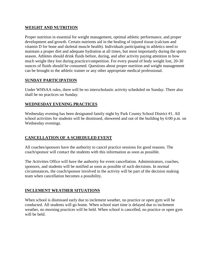#### **WEIGHT AND NUTRITION**

Proper nutrition in essential for weight management, optimal athletic performance, and proper development and growth. Certain nutrients aid in the healing of injured tissue (calcium and vitamin D for bone and skeletal muscle health). Individuals participating in athletics need to maintain a proper diet and adequate hydration at all times, but most importantly during the sports season. Athletes should drink fluids before, during, and after activity paying attention to how much weight they lost during practice/competition. For every pound of body weight lost, 20-30 ounces of fluids should be consumed. Questions about proper nutrition and weight management can be brought to the athletic trainer or any other appropriate medical professional.

#### **SUNDAY PARTICIPATION**

Under WHSAA rules, there will be no interscholastic activity scheduled on Sunday. There also shall be no practices on Sunday.

#### **WEDNESDAY EVENING PRACTICES**

Wednesday evening has been designated family night by Park County School District #1. All school activities for students will be dismissed, showered and out of the building by 6:00 p.m. on Wednesday evenings.

#### **CANCELLATION OF A SCHEDULED EVENT**

All coaches/sponsors have the authority to cancel practice sessions for good reasons. The coach/sponsor will contact the students with this information as soon as possible.

The Activities Office will have the authority for event cancellation. Administrators, coaches, sponsors, and students will be notified as soon as possible of such decisions. In normal circumstances, the coach/sponsor involved in the activity will be part of the decision making team when cancellation becomes a possibility.

#### **INCLEMENT WEATHER SITUATIONS**

When school is dismissed early due to inclement weather, no practice or open gym will be conducted. All students will go home. When school start time is delayed due to inclement weather, no morning practices will be held. When school is cancelled, no practice or open gym will be held.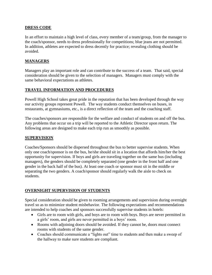#### **DRESS CODE**

In an effort to maintain a high level of class, every member of a team/group, from the manager to the coach/sponsor, needs to dress professionally for competitions; blue jeans are not permitted. In addition, athletes are expected to dress decently for practice; revealing clothing should be avoided.

#### **MANAGERS**

Managers play an important role and can contribute to the success of a team. That said, special consideration should be given to the selection of managers. Managers must comply with the same behavioral expectations as athletes.

#### **TRAVEL INFORMATION AND PROCEDURES**

Powell High School takes great pride in the reputation that has been developed through the way our activity groups represent Powell. The way students conduct themselves on buses, in restaurants, at gymnasiums, etc., is a direct reflection of the team and the coaching staff.

The coaches/sponsors are responsible for the welfare and conduct of students on and off the bus. Any problems that occur on a trip will be reported to the Athletic Director upon return. The following areas are designed to make each trip run as smoothly as possible.

#### **SUPERVISION**

Coaches/Sponsors should be dispersed throughout the bus to better supervise students. When only one coach/sponsor is on the bus, he/she should sit in a location that affords him/her the best opportunity for supervision. If boys and girls are traveling together on the same bus (including managers), the genders should be completely separated (one gender in the front half and one gender in the back half of the bus). At least one coach or sponsor must sit in the middle or separating the two genders. A coach/sponsor should regularly walk the aisle to check on students.

#### **OVERNIGHT SUPERVISION OF STUDENTS**

Special consideration should be given to rooming arrangements and supervision during overnight travel so as to minimize student misbehavior. The following expectations and recommendations are intended to help coaches and sponsors successfully supervise students in hotels:

- Girls are to room with girls, and boys are to room with boys. Boys are never permitted in a girls' room, and girls are never permitted in a boys' room.
- Rooms with adjoining doors should be avoided. If they cannot be, doors must connect rooms with students of the same gender.
- Coaches should communicate a "lights out" time to students and then make a sweep of the hallway to make sure students are compliant.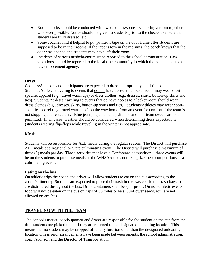- Room checks should be conducted with two coaches/sponsors entering a room together whenever possible. Notice should be given to students prior to the checks to ensure that students are fully dressed, etc.
- Some coaches find it helpful to put painter's tape on the door frame after students are supposed to be in their rooms. If the tape is torn in the morning, the coach knows that the door was opened and students may have left their room.
- Incidents of serious misbehavior must be reported to the school administration. Law violations should be reported to the local (the community in which the hotel is located) law enforcement agency.

#### **Dress**

Coaches/Sponsors and participants are expected to dress appropriately at all times. Students/Athletes traveling to events that do not have access to a locker room may wear sportspecific apparel (e.g., travel warm ups) or dress clothes (e.g., dresses, skirts, button-up shirts and ties). Students/Athletes traveling to events that do have access to a locker room should wear dress clothes (e.g., dresses, skirts, button-up shirts and ties). Students/Athletes may wear sportspecific apparel (e.g. travel warm ups) on the way home from an event for comfort if the team is not stopping at a restaurant. Blue jeans, pajama pants, slippers and non-team sweats are not permitted. In all cases, weather should be considered when determining dress expectations (students wearing flip-flops while traveling in the winter is not appropriate).

#### **Meals**

Students will be responsible for ALL meals during the regular season. The District will purchase ALL meals at a Regional or State culminating event. The District will purchase a maximum of three (3) meals per day. Those activities that have a Conference competition…these events will be on the students to purchase meals as the WHSAA does not recognize these competitions as a culminating event.

#### **Eating on the bus**

On athletic trips the coach and driver will allow students to eat on the bus according to the coach's itinerary. Students are expected to place their trash in the wastebasket or trash bags that are distributed throughout the bus. Drink containers shall be spill proof. On non-athletic events, food will not be eaten on the bus on trips of 50 miles or less. Sunflower seeds, etc., are not allowed on any bus.

#### **TRAVELING WITH THE TEAM**

The School District, coach/sponsor and driver are responsible for the student on the trip from the time students are picked up until they are returned to the designated unloading location. This means that no student may be dropped off at any location other than the designated unloading location unless prior arrangements have been made between parents, the school administration, coach/sponsor, and the Director of Transportation.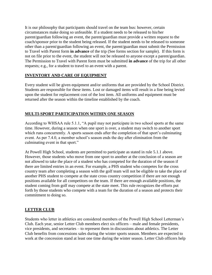It is our philosophy that participants should travel on the team bus: however, certain circumstances make doing so unfeasible. If a student needs to be released to his/her parent/guardian following an event, the parent/guardian must provide a written request to the coach/sponsor prior to the student being released. If the student needs to be released to someone other than a parent/guardian following an event, the parent/guardian must submit the Permission to Travel with Parent form **in advance** of the trip (See forms section for sample). If this form is not on file prior to the event, the student will not be released to anyone except a parent/guardian. The Permission to Travel with Parent form must be submitted **in advance** of the trip for all other requests; e.g., for a student to travel to an event with a parent.

#### **INVENTORY AND CARE OF EQUIPMENT**

Every student will be given equipment and/or uniforms that are provided by the School District. Students are responsible for these items. Lost or damaged items will result in a fine being levied upon the student for replacement cost of the lost item. All uniforms and equipment must be returned after the season within the timeline established by the coach.

#### **MULTI-SPORT PARTICIPATION WITHIN ONE SEASON**

According to WHSAA rule 5.1.1, "A pupil may not participate in two school sports at the same time. However, during a season when one sport is over, a student may switch to another sport which runs concurrently. A sports season ends after the completion of that sport's culminating event. As per 7.4.0, a member school's season ends the day after elimination from the culminating event in that sport."

At Powell High School, students are permitted to participate as stated in rule 5.1.1 above. However, those students who move from one sport to another at the conclusion of a season are not allowed to take the place of a student who has competed for the duration of the season if there are limited entries in an event. For example, a PHS student who competes for the cross country team after completing a season with the golf team will not be eligible to take the place of another PHS student to compete at the state cross country competition if there are not enough positions available for all competitors on the team. If there are enough available positions, the student coming from golf may compete at the state meet. This rule recognizes the efforts put forth by those students who compete with a team for the duration of a season and protects their commitment to doing so.

#### **LETTER CLUB**

Students who letter in athletics are considered members of the Powell High School Letterman's Club. Each year, senior Letter Club members elect six officers – male and female presidents, vice presidents, and secretaries – to represent them in discussions about athletics. The Letter Club benefits from concessions sales during the winter sports season. Members are expected to work at the concession stand at least one time during the winter season. Letter Club officers help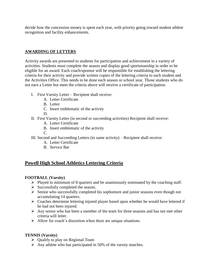decide how the concession money is spent each year, with priority going toward student athlete recognition and facility enhancements.

#### **AWARDING OF LETTERS**

Activity awards are presented to students for participation and achievement in a variety of activities. Students must complete the season and display good sportsmanship in order to be eligible for an award. Each coach/sponsor will be responsible for establishing the lettering criteria for their activity and provide written copies of the lettering criteria to each student and the Activities Office. This needs to be done each season or school year. Those students who do not earn a Letter but meet the criteria above will receive a certificate of participation.

- I. First Varsity Letter Recipient shall receive:
	- A. Letter Certificate
	- B. Letter
	- C. Insert emblematic of the activity
	- D.
- II. First Varsity Letter (in second or succeeding activities) Recipient shall receive:
	- A. Letter Certificate
	- B. Insert emblematic of the activity
	- $\mathcal{C}$
- III. Second and Succeeding Letters (in same activity) Recipient shall receive:
	- A. Letter Certificate
	- B. Service Bar

#### **Powell High School Athletics Lettering Criteria**

#### **FOOTBALL (Varsity)**

- $\triangleright$  Played in minimum of 8 quarters and be unanimously nominated by the coaching staff.
- $\triangleright$  Successfully completed the season.
- $\triangleright$  Senior who successfully completed his sophomore and junior seasons even though not accumulating 14 quarters.
- $\triangleright$  Coaches determine lettering injured player based upon whether he would have lettered if he had not been injured.
- $\triangleright$  Any senior who has been a member of the team for three seasons and has not met other criteria will letter.
- $\triangleright$  Allow for coach's discretion when there are unique situations.

#### **TENNIS (Varsity)**

- $\triangleright$  Oualify to play on Regional Team
- $\triangleright$  Any athlete who has participated in 50% of the varsity matches.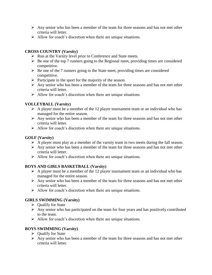- $\triangleright$  Any senior who has been a member of the team for three seasons and has not met other criteria will letter.
- $\triangleright$  Allow for coach's discretion when there are unique situations.

#### **CROSS COUNTRY (Varsity)**

- $\triangleright$  Run at the Varsity level prior to Conference and State meets.
- $\triangleright$  Be one of the top 7 runners going to the Regional meet, providing times are considered competitive.
- $\triangleright$  Be one of the 7 runners going to the State meet, providing times are considered competitive.
- $\triangleright$  Participate in the sport for the majority of the season.
- $\triangleright$  Any senior who has been a member of the team for three seasons and has not met other criteria will letter.
- $\triangleright$  Allow for coach's discretion when there are unique situations.

#### **VOLLEYBALL (Varsity)**

- $\triangleright$  A player must be a member of the 12 player tournament team or an individual who has managed for the entire season.
- $\triangleright$  Any senior who has been a member of the team for three seasons and has not met other criteria will letter.
- $\triangleright$  Allow for coach's discretion when there are unique situations.

#### **GOLF (Varsity)**

- $\triangleright$  A player must play as a member of the varsity team in two meets during the fall season.
- $\triangleright$  Any senior who has been a member of the team for three seasons and has not met other criteria will letter.
- $\triangleright$  Allow for coach's discretion when there are unique situations.

#### **BOYS AND GIRLS BASKETBALL (Varsity)**

- $\triangleright$  A player must be a member of the 12 player tournament team or an individual who has managed for the entire season.
- $\triangleright$  Any senior who has been a member of the team for three seasons and has not met other criteria will letter.
- $\triangleright$  Allow for coach's discretion when there are unique situations.

#### **GIRLS SWIMMING (Varsity)**

- $\triangleright$  Oualify for State
- $\triangleright$  Any senior who has participated on the team for four years and has positively contributed to the team.
- $\triangleright$  Allow for coach's discretion when there are unique situations.

#### **BOYS SWIMMING (Varsity)**

- $\triangleright$  Qualify for State
- $\triangleright$  Any senior who has been a member of the team for three seasons and has not met other criteria will letter.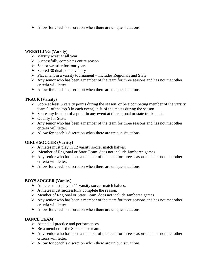$\triangleright$  Allow for coach's discretion when there are unique situations.

#### **WRESTLING (Varsity)**

- $\triangleright$  Varsity wrestler all year
- $\triangleright$  Successfully completes entire season
- $\triangleright$  Senior wrestler for four years
- $\triangleright$  Scored 30 dual points varsity
- $\triangleright$  Placement in a varsity tournament Includes Regionals and State
- $\triangleright$  Any senior who has been a member of the team for three seasons and has not met other criteria will letter.
- $\triangleright$  Allow for coach's discretion when there are unique situations.

#### **TRACK (Varsity)**

- $\triangleright$  Score at least 6 varsity points during the season, or be a competing member of the varsity team (1 of the top 3 in each event) in ¾ of the meets during the season.
- $\triangleright$  Score any fraction of a point in any event at the regional or state track meet.
- $\triangleright$  Qualify for State.
- $\triangleright$  Any senior who has been a member of the team for three seasons and has not met other criteria will letter.
- $\triangleright$  Allow for coach's discretion when there are unique situations.

#### **GIRLS SOCCER (Varsity)**

- $\triangleright$  Athletes must play in 12 varsity soccer match halves.
- Member of Regional or State Team, does not include Jamboree games.
- $\triangleright$  Any senior who has been a member of the team for three seasons and has not met other criteria will letter.
- $\triangleright$  Allow for coach's discretion when there are unique situations.

#### **BOYS SOCCER (Varsity)**

- $\triangleright$  Athletes must play in 11 varsity soccer match halves.
- $\triangleright$  Athletes must successfully complete the season.
- Member of Regional or State Team, does not include Jamboree games.
- $\triangleright$  Any senior who has been a member of the team for three seasons and has not met other criteria will letter.
- $\triangleright$  Allow for coach's discretion when there are unique situations.

#### **DANCE TEAM**

- $\triangleright$  Attend all practice and performances.
- $\triangleright$  Be a member of the State dance team.
- $\triangleright$  Any senior who has been a member of the team for three seasons and has not met other criteria will letter.
- $\triangleright$  Allow for coach's discretion when there are unique situations.